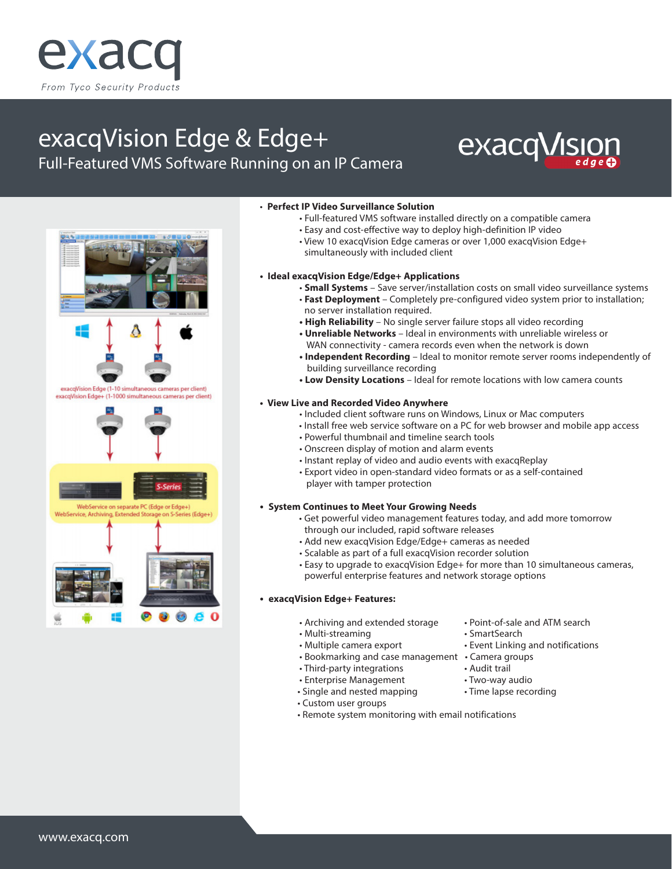

# exacqVision Edge & Edge+









on S-Series (Edge+) WebService, Archiving, Extended Storag



#### • **Perfect IP Video Surveillance Solution**

- Full-featured VMS software installed directly on a compatible camera
- Easy and cost-effective way to deploy high-definition IP video
- View 10 exacqVision Edge cameras or over 1,000 exacqVision Edge+ simultaneously with included client

#### **• Ideal exacqVision Edge/Edge+ Applications**

- **Small Systems** Save server/installation costs on small video surveillance systems • **Fast Deployment** – Completely pre-configured video system prior to installation;
- no server installation required. **• High Reliability** – No single server failure stops all video recording
- **Unreliable Networks** Ideal in environments with unreliable wireless or
- WAN connectivity camera records even when the network is down **• Independent Recording** – Ideal to monitor remote server rooms independently of
- building surveillance recording
- **Low Density Locations**  Ideal for remote locations with low camera counts

#### **• View Live and Recorded Video Anywhere**

- Included client software runs on Windows, Linux or Mac computers
- Install free web service software on a PC for web browser and mobile app access
- Powerful thumbnail and timeline search tools
- Onscreen display of motion and alarm events
- Instant replay of video and audio events with exacqReplay
- Export video in open-standard video formats or as a self-contained player with tamper protection

#### **• System Continues to Meet Your Growing Needs**

- Get powerful video management features today, and add more tomorrow through our included, rapid software releases
- Add new exacqVision Edge/Edge+ cameras as needed
- Scalable as part of a full exacqVision recorder solution
- Easy to upgrade to exacqVision Edge+ for more than 10 simultaneous cameras, powerful enterprise features and network storage options

### **• exacqVision Edge+ Features:**

- Archiving and extended storage Point-of-sale and ATM search
- Multi-streaming extended by SmartSearch
	-
- Bookmarking and case management Camera groups
- Third-party integrations Audit trail
- Enterprise Management Two-way audio
- 
- Custom user groups
- Remote system monitoring with email notifications
- 
- 
- Multiple camera export Event Linking and notifications
	-
	-
	-
- -
	-
- Single and nested mapping Time lapse recording